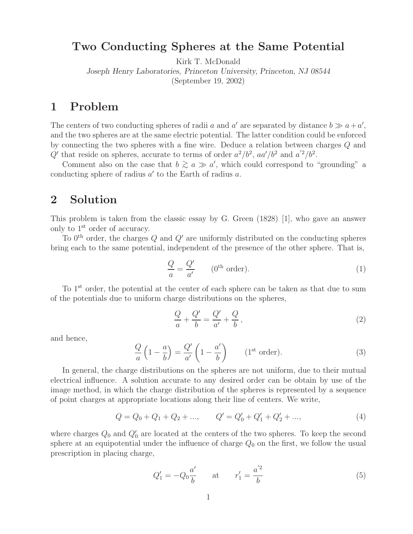## **Two Conducting Spheres at the Same Potential**

Kirk T. McDonald

*Joseph Henry Laboratories, Princeton University, Princeton, NJ 08544*

(September 19, 2002)

# **1 Problem**

The centers of two conducting spheres of radii a and a' are separated by distance  $b \gg a + a'$ , and the two spheres are at the same electric potential. The latter condition could be enforced by connecting the two spheres with a fine wire. Deduce a relation between charges Q and Q' that reside on spheres, accurate to terms of order  $a^2/b^2$ ,  $aa'/b^2$  and  $a'^2/b^2$ .

Comment also on the case that  $b \gtrsim a \gg a'$ , which could correspond to "grounding" a<br>desting and see of a disc a' to the Farth of a disc a conducting sphere of radius  $a'$  to the Earth of radius  $a$ .

# **2 Solution**

This problem is taken from the classic essay by G. Green (1828) [1], who gave an answer only to 1st order of accuracy.

To  $0^{\text{th}}$  order, the charges Q and Q' are uniformly distributed on the conducting spheres bring each to the same potential, independent of the presence of the other sphere. That is,

$$
\frac{Q}{a} = \frac{Q'}{a'}
$$
 (0<sup>th</sup> order). (1)

To 1<sup>st</sup> order, the potential at the center of each sphere can be taken as that due to sum of the potentials due to uniform charge distributions on the spheres,

$$
\frac{Q}{a} + \frac{Q'}{b} = \frac{Q'}{a'} + \frac{Q}{b},\qquad(2)
$$

and hence,

$$
\frac{Q}{a}\left(1-\frac{a}{b}\right) = \frac{Q'}{a'}\left(1-\frac{a'}{b}\right) \qquad \text{(1st order)}.
$$
\n(3)

In general, the charge distributions on the spheres are not uniform, due to their mutual electrical influence. A solution accurate to any desired order can be obtain by use of the image method, in which the charge distribution of the spheres is represented by a sequence of point charges at appropriate locations along their line of centers. We write,

$$
Q = Q_0 + Q_1 + Q_2 + \dots, \qquad Q' = Q'_0 + Q'_1 + Q'_2 + \dots,\tag{4}
$$

where charges  $Q_0$  and  $Q'_0$  are located at the centers of the two spheres. To keep the second sphere at an equipotential under the influence of charge  $Q_0$  on the first, we follow the usual prescription in placing charge,

$$
Q_1' = -Q_0 \frac{a'}{b} \qquad \text{at} \qquad r_1' = \frac{a'^2}{b} \tag{5}
$$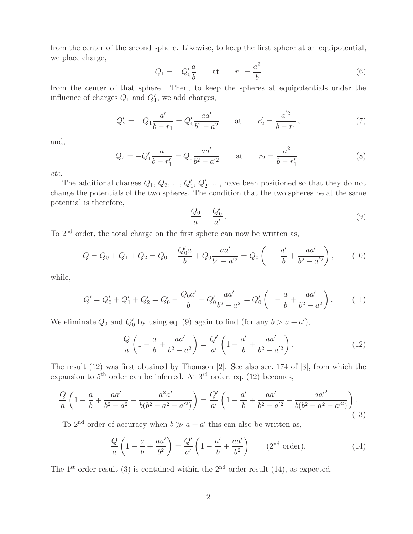from the center of the second sphere. Likewise, to keep the first sphere at an equipotential, we place charge,

$$
Q_1 = -Q'_0 \frac{a}{b} \qquad \text{at} \qquad r_1 = \frac{a^2}{b} \tag{6}
$$

from the center of that sphere. Then, to keep the spheres at equipotentials under the influence of charges  $Q_1$  and  $Q'_1$ , we add charges,

$$
Q_2' = -Q_1 \frac{a'}{b - r_1} = Q_0' \frac{aa'}{b^2 - a^2} \qquad \text{at} \qquad r_2' = \frac{a'^2}{b - r_1},\tag{7}
$$

and,

$$
Q_2 = -Q_1' \frac{a}{b - r_1'} = Q_0 \frac{aa'}{b^2 - a'^2} \qquad \text{at} \qquad r_2 = \frac{a^2}{b - r_1'},\tag{8}
$$

*etc.*

The additional charges  $Q_1, Q_2, ..., Q'_1, Q'_2, ...,$  have been positioned so that they do not change the potentials of the two spheres. The condition that the two spheres be at the same potential is therefore,

$$
\frac{Q_0}{a} = \frac{Q'_0}{a'}\,. \tag{9}
$$

To 2nd order, the total charge on the first sphere can now be written as,

$$
Q = Q_0 + Q_1 + Q_2 = Q_0 - \frac{Q'_0 a}{b} + Q_0 \frac{aa'}{b^2 - a'^2} = Q_0 \left( 1 - \frac{a'}{b} + \frac{aa'}{b^2 - a'^2} \right),\tag{10}
$$

while,

$$
Q' = Q'_0 + Q'_1 + Q'_2 = Q'_0 - \frac{Q_0 a'}{b} + Q'_0 \frac{a a'}{b^2 - a^2} = Q'_0 \left( 1 - \frac{a}{b} + \frac{a a'}{b^2 - a^2} \right). \tag{11}
$$

We eliminate  $Q_0$  and  $Q'_0$  by using eq. (9) again to find (for any  $b > a + a'$ ),

$$
\frac{Q}{a}\left(1 - \frac{a}{b} + \frac{aa'}{b^2 - a^2}\right) = \frac{Q'}{a'}\left(1 - \frac{a'}{b} + \frac{aa'}{b^2 - a'^2}\right). \tag{12}
$$

The result (12) was first obtained by Thomson [2]. See also sec. 174 of [3], from which the expansion to  $5<sup>th</sup>$  order can be inferred. At  $3<sup>rd</sup>$  order, eq. (12) becomes,

$$
\frac{Q}{a}\left(1-\frac{a}{b}+\frac{aa'}{b^2-a^2}-\frac{a^2a'}{b(b^2-a^2-a'^2)}\right)=\frac{Q'}{a'}\left(1-\frac{a'}{b}+\frac{aa'}{b^2-a'^2}-\frac{aa'^2}{b(b^2-a^2-a'^2)}\right).
$$
\n(13)

To 2<sup>nd</sup> order of accuracy when  $b \gg a + a'$  this can also be written as,

$$
\frac{Q}{a}\left(1-\frac{a}{b}+\frac{aa'}{b^2}\right) = \frac{Q'}{a'}\left(1-\frac{a'}{b}+\frac{aa'}{b^2}\right) \qquad (2^{\text{nd}} \text{ order}).\tag{14}
$$

The 1<sup>st</sup>-order result (3) is contained within the  $2<sup>nd</sup>$ -order result (14), as expected.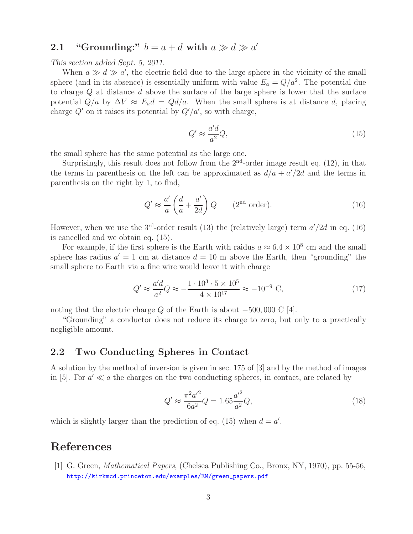# **2.1** "Grounding:"  $b = a + d$  with  $a \gg d \gg a'$

*This section added Sept. 5, 2011.*

When  $a \gg d \gg a'$ , the electric field due to the large sphere in the vicinity of the small sphere (and in its absence) is essentially uniform with value  $E_a = Q/a^2$ . The potential due to charge  $Q$  at distance  $d$  above the surface of the large sphere is lower that the surface potential  $Q/a$  by  $\Delta V \approx E_a d = Q d/a$ . When the small sphere is at distance d, placing charge  $Q'$  on it raises its potential by  $Q'/a'$ , so with charge,

$$
Q' \approx \frac{a'd}{a^2}Q,\tag{15}
$$

the small sphere has the same potential as the large one.

Surprisingly, this result does not follow from the  $2<sup>nd</sup>$ -order image result eq. (12), in that the terms in parenthesis on the left can be approximated as  $d/a + a'/2d$  and the terms in parenthesis on the right by 1, to find,

$$
Q' \approx \frac{a'}{a} \left(\frac{d}{a} + \frac{a'}{2d}\right) Q \qquad (2^{\text{nd}} \text{ order}). \tag{16}
$$

However, when we use the 3<sup>rd</sup>-order result (13) the (relatively large) term  $a'/2d$  in eq. (16) is cancelled and we obtain eq. (15).

For example, if the first sphere is the Earth with raidus  $a \approx 6.4 \times 10^8$  cm and the small sphere has radius  $a' = 1$  cm at distance  $d = 10$  m above the Earth, then "grounding" the small sphere to Earth via a fine wire would leave it with charge

$$
Q' \approx \frac{a'd}{a^2} Q \approx -\frac{1 \cdot 10^3 \cdot 5 \times 10^5}{4 \times 10^{17}} \approx -10^{-9} \text{ C},\tag{17}
$$

noting that the electric charge Q of the Earth is about  $-500,000 \text{ C } [4]$ .

"Grounding" a conductor does not reduce its charge to zero, but only to a practically negligible amount.

#### **2.2 Two Conducting Spheres in Contact**

A solution by the method of inversion is given in sec. 175 of [3] and by the method of images in [5]. For  $a' \ll a$  the charges on the two conducting spheres, in contact, are related by

$$
Q' \approx \frac{\pi^2 a'^2}{6a^2} Q = 1.65 \frac{a'^2}{a^2} Q,\tag{18}
$$

which is slightly larger than the prediction of eq. (15) when  $d = a'$ .

## **References**

[1] G. Green, *Mathematical Papers*, (Chelsea Publishing Co., Bronx, NY, 1970), pp. 55-56, http://kirkmcd.princeton.edu/examples/EM/green\_papers.pdf